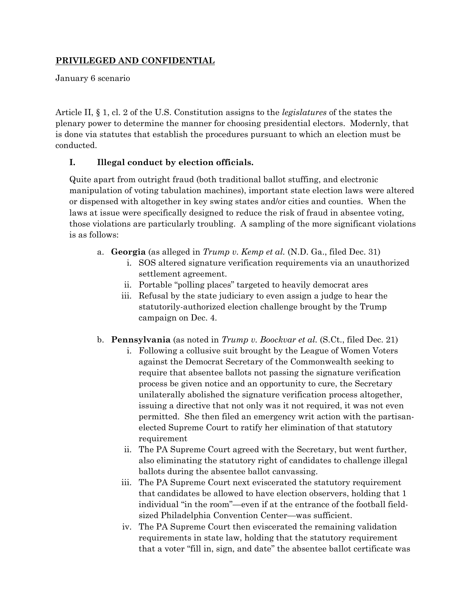## **PRIVILEGED AND CONFIDENTIAL**

January 6 scenario

Article II, § 1, cl. 2 of the U.S. Constitution assigns to the *legislatures* of the states the plenary power to determine the manner for choosing presidential electors. Modernly, that is done via statutes that establish the procedures pursuant to which an election must be conducted.

## **I. Illegal conduct by election officials.**

Quite apart from outright fraud (both traditional ballot stuffing, and electronic manipulation of voting tabulation machines), important state election laws were altered or dispensed with altogether in key swing states and/or cities and counties. When the laws at issue were specifically designed to reduce the risk of fraud in absentee voting, those violations are particularly troubling. A sampling of the more significant violations is as follows:

- a. **Georgia** (as alleged in *Trump v. Kemp et al.* (N.D. Ga., filed Dec. 31)
	- i. SOS altered signature verification requirements via an unauthorized settlement agreement.
	- ii. Portable "polling places" targeted to heavily democrat ares
	- iii. Refusal by the state judiciary to even assign a judge to hear the statutorily-authorized election challenge brought by the Trump campaign on Dec. 4.
- b. **Pennsylvania** (as noted in *Trump v. Boockvar et al.* (S.Ct., filed Dec. 21)
	- i. Following a collusive suit brought by the League of Women Voters against the Democrat Secretary of the Commonwealth seeking to require that absentee ballots not passing the signature verification process be given notice and an opportunity to cure, the Secretary unilaterally abolished the signature verification process altogether, issuing a directive that not only was it not required, it was not even permitted. She then filed an emergency writ action with the partisanelected Supreme Court to ratify her elimination of that statutory requirement
	- ii. The PA Supreme Court agreed with the Secretary, but went further, also eliminating the statutory right of candidates to challenge illegal ballots during the absentee ballot canvassing.
	- iii. The PA Supreme Court next eviscerated the statutory requirement that candidates be allowed to have election observers, holding that 1 individual "in the room"—even if at the entrance of the football fieldsized Philadelphia Convention Center—was sufficient.
	- iv. The PA Supreme Court then eviscerated the remaining validation requirements in state law, holding that the statutory requirement that a voter "fill in, sign, and date" the absentee ballot certificate was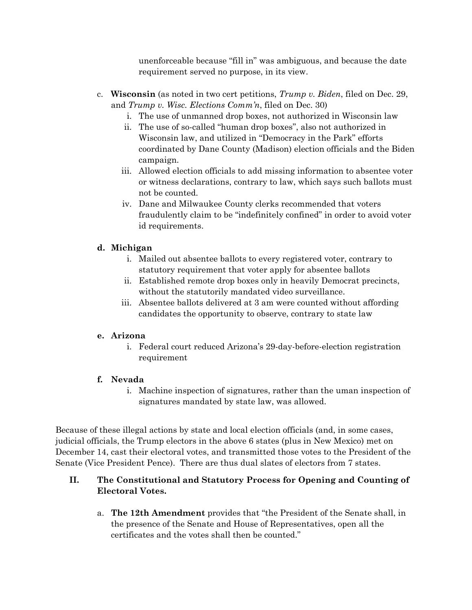unenforceable because "fill in" was ambiguous, and because the date requirement served no purpose, in its view.

- c. **Wisconsin** (as noted in two cert petitions, *Trump v. Biden*, filed on Dec. 29, and *Trump v. Wisc. Elections Comm'n*, filed on Dec. 30)
	- i. The use of unmanned drop boxes, not authorized in Wisconsin law
	- ii. The use of so-called "human drop boxes", also not authorized in Wisconsin law, and utilized in "Democracy in the Park" efforts coordinated by Dane County (Madison) election officials and the Biden campaign.
	- iii. Allowed election officials to add missing information to absentee voter or witness declarations, contrary to law, which says such ballots must not be counted.
	- iv. Dane and Milwaukee County clerks recommended that voters fraudulently claim to be "indefinitely confined" in order to avoid voter id requirements.

# **d. Michigan**

- i. Mailed out absentee ballots to every registered voter, contrary to statutory requirement that voter apply for absentee ballots
- ii. Established remote drop boxes only in heavily Democrat precincts, without the statutorily mandated video surveillance.
- iii. Absentee ballots delivered at 3 am were counted without affording candidates the opportunity to observe, contrary to state law

## **e. Arizona**

i. Federal court reduced Arizona's 29-day-before-election registration requirement

# **f. Nevada**

i. Machine inspection of signatures, rather than the uman inspection of signatures mandated by state law, was allowed.

Because of these illegal actions by state and local election officials (and, in some cases, judicial officials, the Trump electors in the above 6 states (plus in New Mexico) met on December 14, cast their electoral votes, and transmitted those votes to the President of the Senate (Vice President Pence). There are thus dual slates of electors from 7 states.

# **II. The Constitutional and Statutory Process for Opening and Counting of Electoral Votes.**

a. **The 12th Amendment** provides that "the President of the Senate shall, in the presence of the Senate and House of Representatives, open all the certificates and the votes shall then be counted."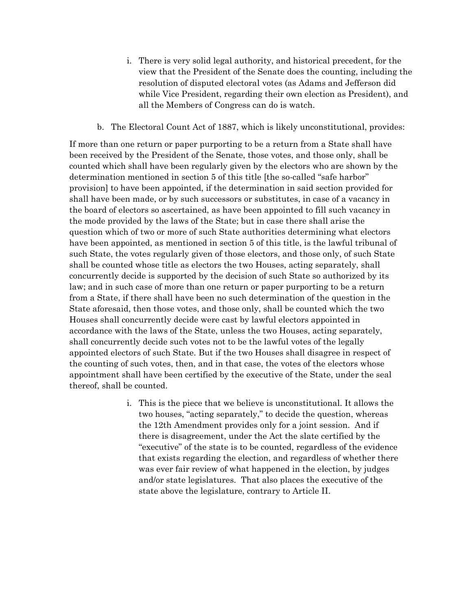- i. There is very solid legal authority, and historical precedent, for the view that the President of the Senate does the counting, including the resolution of disputed electoral votes (as Adams and Jefferson did while Vice President, regarding their own election as President), and all the Members of Congress can do is watch.
- b. The Electoral Count Act of 1887, which is likely unconstitutional, provides:

If more than one return or paper purporting to be a return from a State shall have been received by the President of the Senate, those votes, and those only, shall be counted which shall have been regularly given by the electors who are shown by the determination mentioned in section 5 of this title [the so-called "safe harbor" provision] to have been appointed, if the determination in said section provided for shall have been made, or by such successors or substitutes, in case of a vacancy in the board of electors so ascertained, as have been appointed to fill such vacancy in the mode provided by the laws of the State; but in case there shall arise the question which of two or more of such State authorities determining what electors have been appointed, as mentioned in section 5 of this title, is the lawful tribunal of such State, the votes regularly given of those electors, and those only, of such State shall be counted whose title as electors the two Houses, acting separately, shall concurrently decide is supported by the decision of such State so authorized by its law; and in such case of more than one return or paper purporting to be a return from a State, if there shall have been no such determination of the question in the State aforesaid, then those votes, and those only, shall be counted which the two Houses shall concurrently decide were cast by lawful electors appointed in accordance with the laws of the State, unless the two Houses, acting separately, shall concurrently decide such votes not to be the lawful votes of the legally appointed electors of such State. But if the two Houses shall disagree in respect of the counting of such votes, then, and in that case, the votes of the electors whose appointment shall have been certified by the executive of the State, under the seal thereof, shall be counted.

> i. This is the piece that we believe is unconstitutional. It allows the two houses, "acting separately," to decide the question, whereas the 12th Amendment provides only for a joint session. And if there is disagreement, under the Act the slate certified by the "executive" of the state is to be counted, regardless of the evidence that exists regarding the election, and regardless of whether there was ever fair review of what happened in the election, by judges and/or state legislatures. That also places the executive of the state above the legislature, contrary to Article II.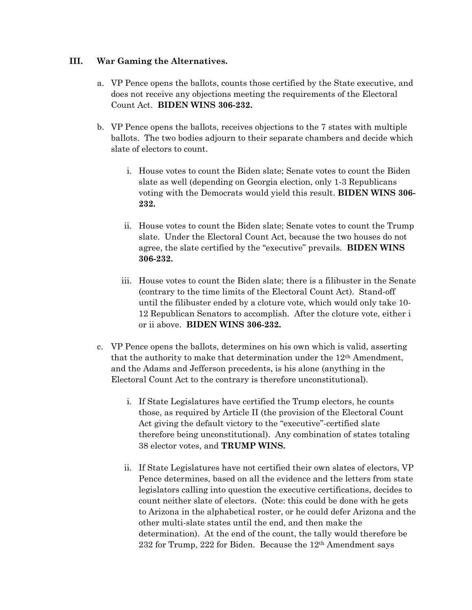#### **III. War Gaming the Alternatives.**

- a. VP Pence opens the ballots, counts those certified by the State executive, and does not receive any objections meeting the requirements of the Electoral Count Act. **BIDEN WINS 306-232.**
- b. VP Pence opens the ballots, receives objections to the 7 states with multiple ballots. The two bodies adjourn to their separate chambers and decide which slate of electors to count.
	- i. House votes to count the Biden slate; Senate votes to count the Biden slate as well (depending on Georgia election, only 1-3 Republicans voting with the Democrats would yield this result. **BIDEN WINS 306- 232.**
	- ii. House votes to count the Biden slate; Senate votes to count the Trump slate. Under the Electoral Count Act, because the two houses do not agree, the slate certified by the "executive" prevails. **BIDEN WINS 306-232.**
	- iii. House votes to count the Biden slate; there is a filibuster in the Senate (contrary to the time limits of the Electoral Count Act). Stand-off until the filibuster ended by a cloture vote, which would only take 10- 12 Republican Senators to accomplish. After the cloture vote, either i or ii above. **BIDEN WINS 306-232.**
- c. VP Pence opens the ballots, determines on his own which is valid, asserting that the authority to make that determination under the  $12<sup>th</sup>$  Amendment, and the Adams and Jefferson precedents, is his alone (anything in the Electoral Count Act to the contrary is therefore unconstitutional).
	- i. If State Legislatures have certified the Trump electors, he counts those, as required by Article II (the provision of the Electoral Count Act giving the default victory to the "executive"-certified slate therefore being unconstitutional). Any combination of states totaling 38 elector votes, and **TRUMP WINS.**
	- ii. If State Legislatures have not certified their own slates of electors, VP Pence determines, based on all the evidence and the letters from state legislators calling into question the executive certifications, decides to count neither slate of electors. (Note: this could be done with he gets to Arizona in the alphabetical roster, or he could defer Arizona and the other multi-slate states until the end, and then make the determination). At the end of the count, the tally would therefore be 232 for Trump, 222 for Biden. Because the 12th Amendment says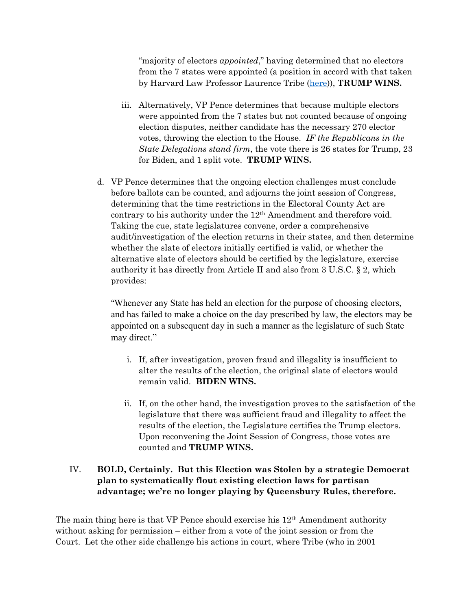"majority of electors *appointed*," having determined that no electors from the 7 states were appointed (a position in accord with that taken by Harvard Law Professor Laurence Tribe [\(here\)](https://verdict.justia.com/2020/09/30/no-republicans-cannot-throw-the-presidential-election-into-the-house-so-that-trump-wins)), **TRUMP WINS.**

- iii. Alternatively, VP Pence determines that because multiple electors were appointed from the 7 states but not counted because of ongoing election disputes, neither candidate has the necessary 270 elector votes, throwing the election to the House. *IF the Republicans in the State Delegations stand firm*, the vote there is 26 states for Trump, 23 for Biden, and 1 split vote. **TRUMP WINS.**
- d. VP Pence determines that the ongoing election challenges must conclude before ballots can be counted, and adjourns the joint session of Congress, determining that the time restrictions in the Electoral County Act are contrary to his authority under the 12<sup>th</sup> Amendment and therefore void. Taking the cue, state legislatures convene, order a comprehensive audit/investigation of the election returns in their states, and then determine whether the slate of electors initially certified is valid, or whether the alternative slate of electors should be certified by the legislature, exercise authority it has directly from Article II and also from 3 U.S.C. § 2, which provides:

"Whenever any State has held an election for the purpose of choosing electors, and has failed to make a choice on the day prescribed by law, the electors may be appointed on a subsequent day in such a manner as the legislature of such State may direct."

- i. If, after investigation, proven fraud and illegality is insufficient to alter the results of the election, the original slate of electors would remain valid. **BIDEN WINS.**
- ii. If, on the other hand, the investigation proves to the satisfaction of the legislature that there was sufficient fraud and illegality to affect the results of the election, the Legislature certifies the Trump electors. Upon reconvening the Joint Session of Congress, those votes are counted and **TRUMP WINS.**

## IV. **BOLD, Certainly. But this Election was Stolen by a strategic Democrat plan to systematically flout existing election laws for partisan advantage; we're no longer playing by Queensbury Rules, therefore.**

The main thing here is that VP Pence should exercise his 12th Amendment authority without asking for permission – either from a vote of the joint session or from the Court. Let the other side challenge his actions in court, where Tribe (who in 2001